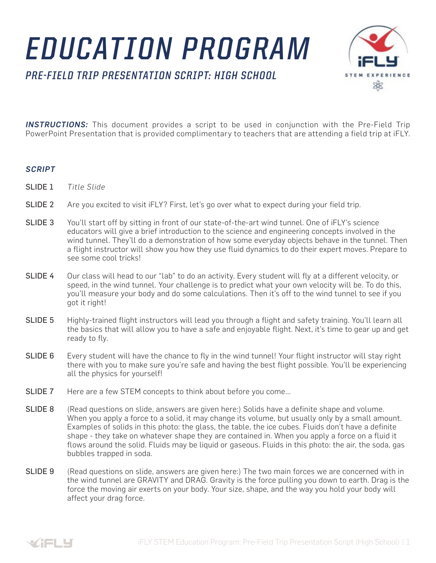## *EDUCATION PROGRAM*

*PRE-FIELD TRIP PRESENTATION SCRIPT: HIGH SCHOOL*



**INSTRUCTIONS:** This document provides a script to be used in conjunction with the Pre-Field Trip PowerPoint Presentation that is provided complimentary to teachers that are attending a field trip at iFLY.

## *SCRIPT*

- SLIDE 1 *Title Slide*
- SLIDE 2 Are you excited to visit iFLY? First, let's go over what to expect during your field trip.
- SLIDE 3 You'll start off by sitting in front of our state-of-the-art wind tunnel. One of iFLY's science educators will give a brief introduction to the science and engineering concepts involved in the wind tunnel. They'll do a demonstration of how some everyday objects behave in the tunnel. Then a flight instructor will show you how they use fluid dynamics to do their expert moves. Prepare to see some cool tricks!
- SLIDE 4 Our class will head to our "lab" to do an activity. Every student will fly at a different velocity, or speed, in the wind tunnel. Your challenge is to predict what your own velocity will be. To do this, you'll measure your body and do some calculations. Then it's off to the wind tunnel to see if you got it right!
- SLIDE 5 Highly-trained flight instructors will lead you through a flight and safety training. You'll learn all the basics that will allow you to have a safe and enjoyable flight. Next, it's time to gear up and get ready to fly.
- SLIDE 6 Every student will have the chance to fly in the wind tunnel! Your flight instructor will stay right there with you to make sure you're safe and having the best flight possible. You'll be experiencing all the physics for yourself!
- SLIDE 7 Here are a few STEM concepts to think about before you come...
- SLIDE 8 (Read questions on slide, answers are given here:) Solids have a definite shape and volume. When you apply a force to a solid, it may change its volume, but usually only by a small amount. Examples of solids in this photo: the glass, the table, the ice cubes. Fluids don't have a definite shape - they take on whatever shape they are contained in. When you apply a force on a fluid it flows around the solid. Fluids may be liquid or gaseous. Fluids in this photo: the air, the soda, gas bubbles trapped in soda.
- SLIDE 9 (Read questions on slide, answers are given here:) The two main forces we are concerned with in the wind tunnel are GRAVITY and DRAG. Gravity is the force pulling you down to earth. Drag is the force the moving air exerts on your body. Your size, shape, and the way you hold your body will affect your drag force.